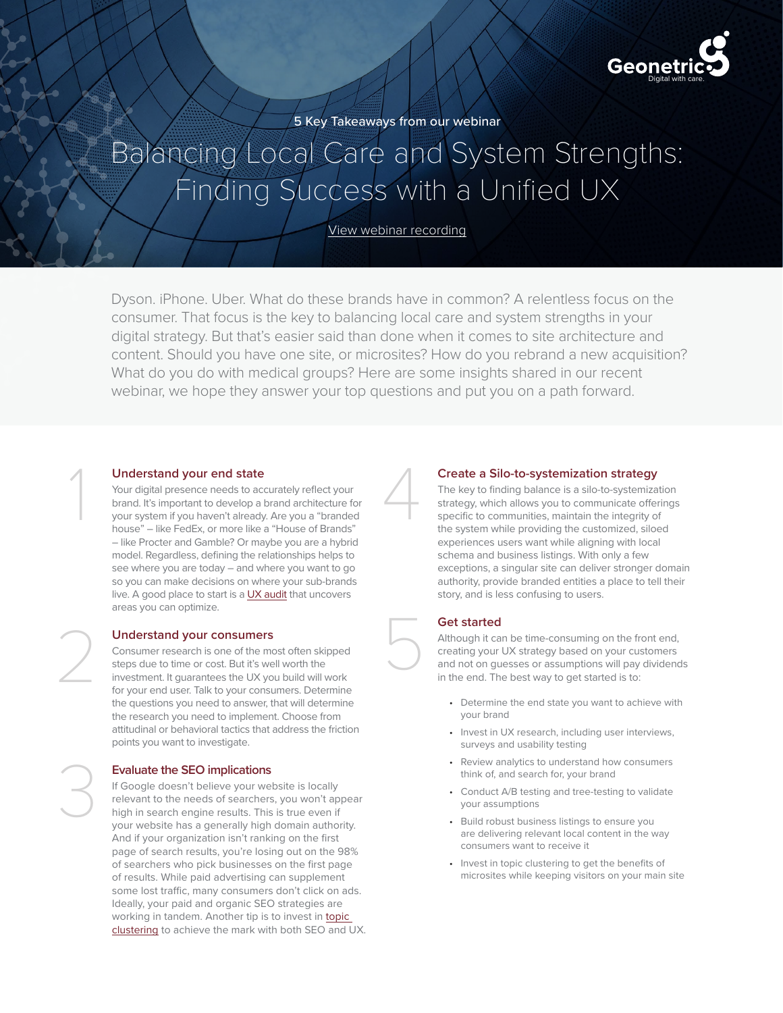

5 Key Takeaways from our webinar

# Balancing Local Care and System Strengths: Finding Success with a Unified UX

[View webinar recording](https://www.geonetric.com/content-strategy/balancing-local-care-and-system-strengths/)

Dyson. iPhone. Uber. What do these brands have in common? A relentless focus on the consumer. That focus is the key to balancing local care and system strengths in your digital strategy. But that's easier said than done when it comes to site architecture and content. Should you have one site, or microsites? How do you rebrand a new acquisition? What do you do with medical groups? Here are some insights shared in our recent webinar, we hope they answer your top questions and put you on a path forward.

4

5

#### **Understand your end state**

1

2

3

Your digital presence needs to accurately reflect your brand. It's important to develop a brand architecture for your system if you haven't already. Are you a "branded house" – like FedEx, or more like a "House of Brands" – like Procter and Gamble? Or maybe you are a hybrid model. Regardless, defining the relationships helps to see where you are today – and where you want to go so you can make decisions on where your sub-brands live. A good place to start is a [UX audit](https://www.geonetric.com/user-experience/user-experience-audit/ ) that uncovers areas you can optimize.

#### **Understand your consumers**

Consumer research is one of the most often skipped steps due to time or cost. But it's well worth the investment. It guarantees the UX you build will work for your end user. Talk to your consumers. Determine the questions you need to answer, that will determine the research you need to implement. Choose from attitudinal or behavioral tactics that address the friction points you want to investigate.

#### **Evaluate the SEO implications**

If Google doesn't believe your website is locally relevant to the needs of searchers, you won't appear high in search engine results. This is true even if your website has a generally high domain authority. And if your organization isn't ranking on the first page of search results, you're losing out on the 98% of searchers who pick businesses on the first page of results. While paid advertising can supplement some lost traffic, many consumers don't click on ads. Ideally, your paid and organic SEO strategies are working in tandem. Another tip is to invest in topic [clustering](https://www.geonetric.com/seo/how-topic-clusters-improve-seo-ux/ ) to achieve the mark with both SEO and UX.

#### **Create a Silo-to-systemization strategy**

The key to finding balance is a silo-to-systemization strategy, which allows you to communicate offerings specific to communities, maintain the integrity of the system while providing the customized, siloed experiences users want while aligning with local schema and business listings. With only a few exceptions, a singular site can deliver stronger domain authority, provide branded entities a place to tell their story, and is less confusing to users.

## **Get started**

Although it can be time-consuming on the front end, creating your UX strategy based on your customers and not on guesses or assumptions will pay dividends in the end. The best way to get started is to:

- Determine the end state you want to achieve with your brand
- Invest in UX research, including user interviews, surveys and usability testing
- Review analytics to understand how consumers think of, and search for, your brand
- Conduct A/B testing and tree-testing to validate your assumptions
- Build robust business listings to ensure you are delivering relevant local content in the way consumers want to receive it
- Invest in topic clustering to get the benefits of microsites while keeping visitors on your main site